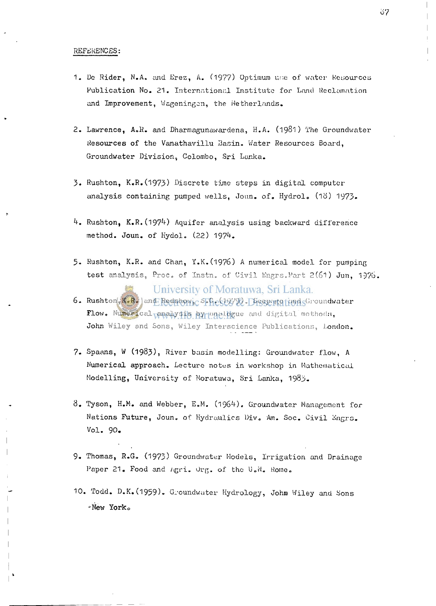## **REFERENCES:**

- <sup>1</sup> **. Do Rider, N.A. and Erez, A.** (1977 ) **Optimum u.",e of water Resources Publication No.**<sup>21</sup> . **International Institute for Land Reclamation**  and Improvement, Wageningen, the Wetherlands.
- <sup>2</sup> . **Lawrence, A.R. and Dharmagunawardena, H.A.** (1981 ) **The Groundwater Resources of the Vanathavillu Basin. Water Resources Board, Groundwater Division, Colombo, Sri Lanka.**
- <sup>3</sup> . **Rushton, K.R**.0973 ) **Discrete time steps in digital computer analysis containing pumped wells, Joun. of. Hydrol.** (18 ) 1973 -
- <sup>4</sup> . **Rushton, K.R.** (1974 ) **Aquifer analysis using backward difference method. Joun. of Kydol.** (22 ) 1974 .
- <sup>5</sup> . **Rushton, K.R. and Chan, Y.K** .(1976 ) **A numerical model for pumping test analysis, Proc. of Instn. of Civil Engrs.Part** 2(61 ) **Jun,**<sup>1976</sup> .

University of Moratuwa, Sri Lanka.

- <sup>6</sup> . **Rushton, K.R. and Redshow, S.C (** 1979) **. Seepage and Groundwater**  Flow. Numerical paralysis by unablegue and digital methods, John Wiley and Sons, Wiley Interscience Publications, London.
- <sup>7</sup> . **Spaans, W** (1983) , **River basin modelling: Groundwater flow, A Numerical approach. Lecture notos in workshop in Mathematical Modelling, University of Moratuwa, Sri Lanka,**<sup>1983</sup> .
- <sup>8</sup> . **Tyson, H.M. and Webber, E.M.** (1964) . **Groundwater Management for Nations Future, Joun.** of **Hydraulics Div. Am. Soc. Civil Engrc. Vol.** 90 .
- <sup>9</sup> . **Thomas, R.G.** (1973 ) **Groundwater Models, Irrigation and Drainage Paper**<sup>21</sup> . **Food and** /igri. **Org.** of **the** U.N. **Rome.**
- 10. Todd. D.K. (1959). Groundwater Hydrology, John Wiley and Sons **-New Yorko**

37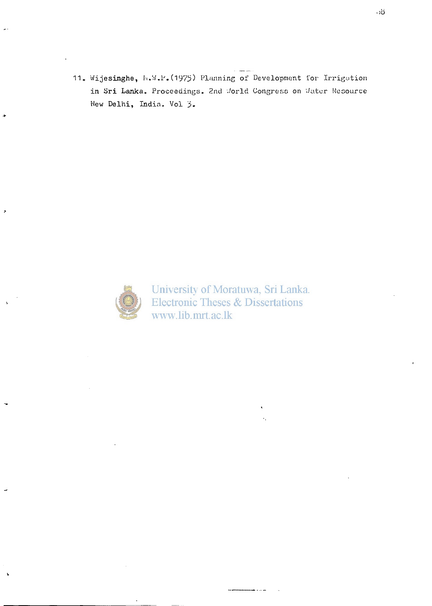**Wijesinghe,** Ii**.W.P.**(1975) **Planning of Development for Irrigation**  in Sri Lanka. Proceedings. 2nd Jorld Congress on Vater Resource **New Delhi, India. Vol** *j>.* 



University of Moratuwa, Sri Lanka. **Electronic Theses & Dissertations** www.lib.mrt.ac.lk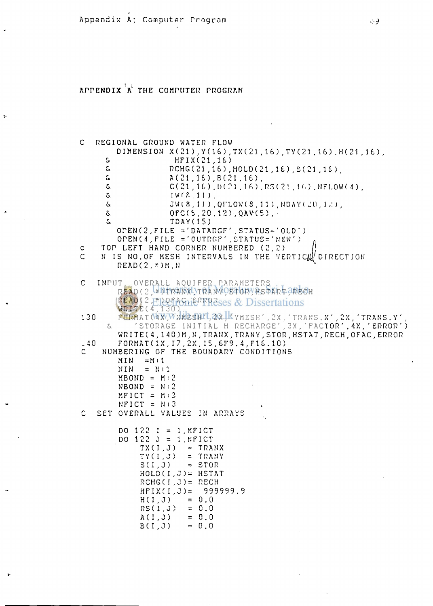## APPENDIX<sup>'A'</sup> THE COMPUTER PROGRAM

```
C REGIONAL GROUND WATER FLOW 
        DIMENSION X(21 ) ,Y(16),TX(21,lb),TY(21 . 16 ) .H(21 , lb) 
      a HFIX(21,16)<br>a RCHG(21,16)
      S. RCHG(21,16), HOLD(21,16), S(21,16), S. (21, 16), At 21, 16) B (21, 16).
      a A(21, 16), B(21, 16), C(21, 16)& C( 21 , 1 O ,D C ?1 . 1 f.) , RS< 21 , I f. ) . NFLOWC-1 ) , 
      & I W f,°. II) , 
      & JW(8,11), QFLOW(8,11), NDAY(20,12),<br>& OFC(5,20,12), QAV(5),
                     t OFC(S,20,'i:i);QA-V(5) , • 
      S, TDAY(IS) 
         OTEN(2,FILE •- ' D A T A R G F ' ,STATUS='OLD 
         OPEN(4,FILE ='OUTRGF'.STATUS= 
c TOP LEFT HAND CORNER NUMBERED (2,2)<br>C N IS NO.OF MESH INTERVALS IN THE VE
     N IS NO.OF MESH INTERVALS IN THE VERTICAL DIRECTION
        READ(2,*)M.N 
C INPUT OVERALL AQUIFER PARAMETERS 
         READ(2,*)TRANX,IRAN Y,STOR,HSTART,RECH 
        READ(2, FILL FACTION ERRISES & Dissertations
        WRITE(4,130) 
130 FORMAT (4X) WARESHIL 2X, KYMESH', 2X, 'TRANS.X', 2X, 'TRANS.Y'
      & ' STORAGE INITIAL H RECHARGE' ,3X, 'FACTOR' . 4X , 'ERROR' 
         WRITEC 4,140)M,N,TRANX,TRANY,STOR,HSTAT,RECH,OFAC,ERROR 
140 FORMAT(IX,I7,2X,I5,6F9.4.F16.10) 
     C NUMBERING OF THE BOUNDARY CONDITIONS 
         MIN = M \cup 1NIN = Nil 
         MBOND = M:2NBOND = N:2MFICT = M:3NFICT = Ni3 
C SET OVERALL VALUES IN ARRAYS 
         DO 122 I = 1,MFICT 
         DO 122 J = 1,NFICT 
              TX(I,J) = TRANK<br>TY(I,J) = TRANYTY(I,J) = TRAN<br>S(I,J) = STORS(I,J)HOLD(I , J) = HSTAT 
              RCHG(I, J ) = RECH 
              HFIX(I,J) = 999999.9<br>H(I,J) = 0.0H(I,J) = 0.0<br>RS(1.J) = 0.0
              RS(1, J) = 0.0<br>A(1, J) = 0.0A( I , J) 0.0 
              B( I , J) 
                          -
0 . 0
```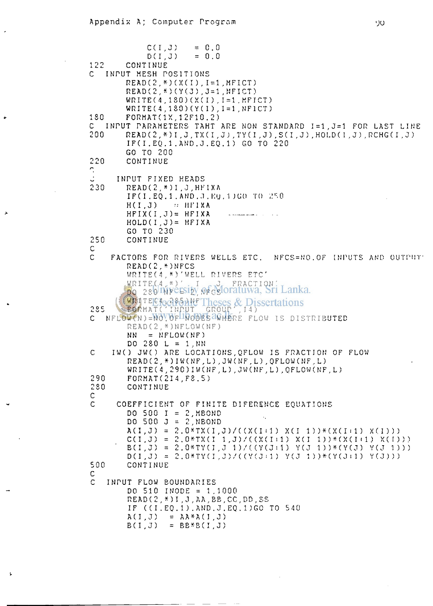```
C(1, J) = 0.0<br>D(I,J) = 0.0
            D( I ,J ) = 0.0 
122 CONTINUE 
C INPUT MESH POSITIONS 
        READ(2,*)(X(I),1=1.MFICT) 
        READC2,* ) (Y(J),J=l,NFICT) 
        WRITE(4,1 SO)(X(I ) .1=1.MFICT) 
        WRITE(4.ISO)(Y(I),1=1,NF1CT) 
ISO FORMAT (ix ,12F10.2 ) 
C INPUT PARAMETERS TAHT ARE HON STANDARD 1=1,J=l FOR LAST LINE 
        2 00 READ ( 2 , * ) I , J , TX ( I , J .! . TY ( I . J ) , S ( I , J ) , HOLD ( 1. J ) , RCHGC I . J ) 
        IF(I.EQ.1 .AND.J.EQ . 1 ) GO TO 220 
        GO TO 200 
220 CONTINUE 
     INPUT FIXED HEADS 
2 30 READ(2,*)I,J,HFIXA 
        IF( I . EQ. 1 . AND ..1 . MU. "I )GO TO i!,:.0 
        H( I , J) HFIXA 
        HFIXCI ,J)= HFIXA — 
        HOLD(I,J)= HFIXA 
        GO TO 230 
250 CONTINUE 
n 
C FACTORS FOR RIVERS WELLS ETC. NFCS = NO.OF INPUTS AND OUTPUT' 
        READ(2,*)NFCS 
        WRITE(4,*)'WELL RIVERS ETC'
        WRITEC4,*)' I J FRACTION' 
        DO 380 NE E2TS AE GET
        WRITEG4,2851NFT
285 FORMATC'INPUT GROUP' , 14) 
C NFLOW(N)=NOVOF RODES 20HERE FLOW IS DISTRIBUTED
        READ( 2 , *)NFLOW(NF) 
        NN = NFLOW(NF) 
        DO 280 L = 1, NNC IW() JW() ARE LOCATIONS,QFLOW IS FRACTION OF FLOW 
        READ( 2 , * ) I W ( N F , L ) , J W ( N F , L ) ,0FLOW(NF.L) 
        WRITE(4,290)IW(NF,L),JW(NF.L).QFLOW(NF,L) 
290 FORMAT(2I4,F8.5) 
        280 CONTINUE 
C 
C COEFFICIENT OF FINITE DIFERENCE EQUATIONS 
        DO 500 I = 2,MBOND 
        DO 500 J = 2,NBOND 
        A(I,J) = 2.0*TX(I,J)/((X(I \cup I) X(I-1))*(X(I \cup I) X(I)))C(I,J) = 2.0*TX(I 1,J)/(((X(I)1) X(I 1))*(X(I)1) X(I))B(I,J) = 2.0*TY(I,J 1)/(Y(J:1) Y(J 1)) * (Y(J) Y(J 1)))DO,J ) = 2.0*TY(I ,J )/((V(J i 1 ) YCJ l))*(Y(Jil) Y(J))) 
500 CONTINUE 
C 
   C INPUT FLOW BOUNDARIES 
        DO 510 I NODE = 1 .1000 
        READ(2,*)I,J,AA,BB,CC,DD.SS 
        IF ((I.EQ.1).AND.J.EQ.1)GO TO 54 0 
        A(1, J) = A A * A(1, J)B(1, J) = B B * B (I, J)
```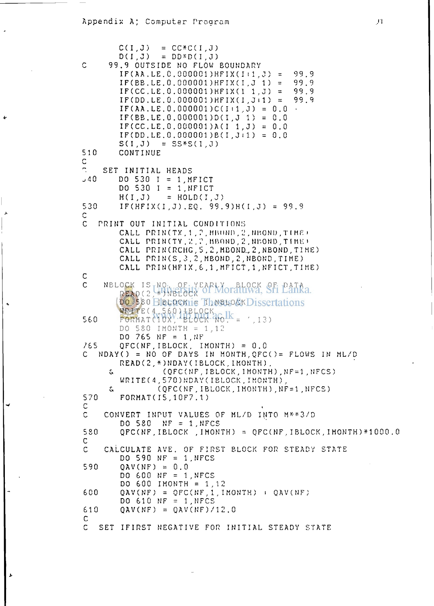## Appendix A: Computer Program

 $C(I,J)$  $= CC*C(I,J)$  $=$  DD\*D(I, J)  $D(I,J)$  $\mathsf{C}$ 99.9 OUTSIDE NO FLOW BOUNDARY  $IF(AA, LE, C. 000001) HFIX(I<sub>1</sub>, J) =$ 99.9 99.9  $IF(BB.LE. 0.000001) HFIX(I.J 1) =$  $IF(CC, LE. 0.000001) HFIX(1 1. J) =$ 99.9 99.9  $IF(DD, LE, 0.000001) HFIX(I, J<sub>1</sub>) =$ IF(AA.LE. 0.000001) $C(I+1, J) = 0.0$  $IF(EB.LE. 0.000001)D(1,J 1) = 0.0$ IF(CC.LE.0.000001)A(I 1, J) = 0.0  $IF(DD.LE. 0.000001)B(I. J.1) = 0.0$  $=$  SS\*S(1.J)  $S(I,J)$ 510 CONTINUE C  $\mathbb{R}$ SET INITIAL HEADS  $540$ DO 530  $I = 1$ . MFICT DO 530  $I = 1, NFIGT$  $= HOLD(I,J)$  $H(I,J)$ 530  $IF(HFIX(I,J), EQ, 99.9)H(I,J) = 99.9$  $\mathsf{C}$ C PRINT OUT INITIAL CONDITIONS CALL PRIN(TX, 1, 2, HBOND, 2, HBOND, TIME) CALL PRINCTY. 2.2. HBOND, 2. NEOND. TIME) CALL PRIN(RCHG, 5, 2, MEOND, 2, NEOND, TIME) CALL PRIN(S, 3, 2, MBOND, 2, NBOND, TIME) CALL PRIN(HFIX.6.1.MFICT.1.NFICT.TIME)  $\mathsf{C}$ NBLOCK IS NO. OF YEARLY BLOCK OF PATA  $\mathsf{C}$ **DO 580 FIREDOKTIE These OK Dissertations** WRITE(4,560) IBLOCK<br>PORMAT(10X) BLOCK ROLL =  $560$  $(1.13)$ DO 580 IMONTH = 1.12 DO 765 NF = 1, NF 765  $QFC(NF, IBLOCK, IMONTH) = 0.0$ NDAY() = NO OF DAYS IN MONTH, QFC()= FLOWS IN ML/D READ(2,\*)NDAY(IBLOCK, IMONTH), (QFC(NF, IBLOCK, IMONTH), NF=1, NFCS) S. WRITE(4,570)NDAY(IBLOCK, IMONTH) (QFC(NF, IBLOCK, IMONTH), NF=1, NFCS) S. 570 FORMAT(15, 10F7.1) C  $\mathsf C$ CONVERT INPUT VALUES OF ML/D INTO M\*\*3/D DO 580 NF =  $1,NFCS$ 580 QPC(NF, IBLOCK, IMONTH) = QPC(NF, IBLOCK, IMONTH)\*1000.0 C. CALCULATE AVE. OF FIRST BLOCK FOR STEADY STATE  $\mathsf{C}$ DO 590 NF = 1, NFCS 590  $QAV(NF) = 0.0$ DO 600 NF = 1, NFCS DO 600 IMONTH = 1,12  $0AV(NF) = OFC(NF, 1, IMONTH) + OAV(NF)$ 600 DO 610 NF = 1, NFCS 610  $QAV(NF) = QAV(NF)/12.0$  $\mathsf{C}$  $\mathsf{C}$ SET IFIRST NEGATIVE FOR INITIAL STEADY STATE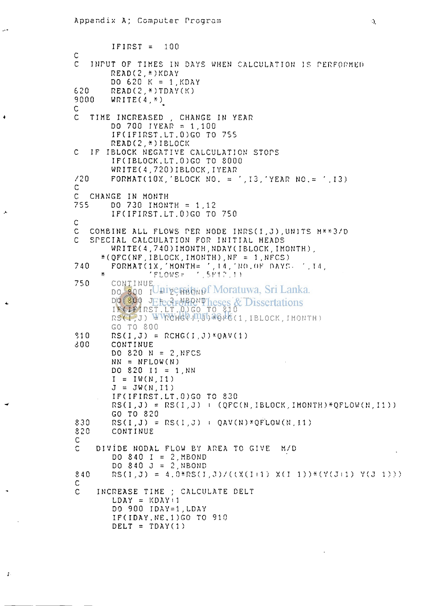$\ddot{x}$ 

```
IFIRST = 100 
C 
   C INPUT OF TIMES IN DAYS WHEN CALCULATION IS PERFORMED 
       READ(2,*)KDAY 
       DO 620 K = 1,KDAY 
620 READ(2,*)TDAY(K)<br>9000 WRITE(4 *)
       9000 WRITEC4,*) 
C 
C TIME INCREASED , CHANGE IN YEAR 
       DO 700 I YEAR = 1,100 
       IF(IFIRST.LT.0)GO TO 755 
       READ(2,*)I BLOCK 
C IF I BLOCK NEGATIVE CALCULATION STOPS 
       IFCIBLOCK.LT.0)GO TO 8000 
       WRITEC 4 ,720) 1 BLOCK,I YEAR 
/20 FORMATC1 OX, 'BLOCK NO. = ,13, 'YEAR NO.= '.13) 
C 
C CHANGE IN MONTH 
       755 DO 730 I MONTH = 1.12 
       IFCIFIRST.LT.0)GO TO 750 
C 
C COMBINE ALL FLOWS PER NODE INRS(I,J), UNITS M**3/D <br>C SPECIAL CALCULATION FOR INITIAL HEADS
   C STECIAL CALCULATION FOR INITIAL HEADS 
       WRITE(4,740)IMONTH, NDAY(IBLOCK, IMONTH),
     *(QFC(NF,I BLOCK,I MONTH),NF = l.NFCS) 
740 FORMATC IX, 'MONTHS ' , 14, ' NO . f) F HAYS- '.T4, 
     * ' FLOWS-" ' . 5K1 ? . 1) 
75 0 CONTINUE 
        DO 800 IO TO BOND
        DO 800 JEFectrMBOND heses &
        IF(IFIRST.LT.0)GO TO 810 
       RSCI,J) WWWW.40.1015ba6.46(1, IBLOCK, IMONTH)
       GO TO 800 
910 RS(I, J) = RCHG(I, J)*QAV(1)
800 CONTINUE 
       DO 820 N = 2,MFCS 
       NN = NFLOW(N)DO 8 20 II = 1,NN 
        I = IV(N, 11)J = JW(N,11)IFCIFIRST.LT.0)GO TO 830 
       RS(I,J) = RS(I,J) : (QFC(N,IBLOCK,IMONTH)*QFLOW(N,I1))GO TO 820 
830 RSCI,J) = RSCI,J) i QAVCN ) *QF"LOW(N , II ) 
        820 CONTINUE 
C 
C DIVIDE NODAL FLOW BY AREA TO GIVE M/D 
        DO 840 I = 2, MBOND
        DO 8 40 J = 2,NBOND 
840 RS(I.J) = 4.0*RS(I.J)/((X(I+1) X(I-1))*(Y(J+1) Y(J-1)))
C 
    C INCREASE TIME ; CALCULATE BELT 
        LDAY = KDAYi1 
        DO 900 IDAY=1,LDAY 
        IFCI DAY.N E.1)G 0 TO 910 
        DELT = TDAY(1)
```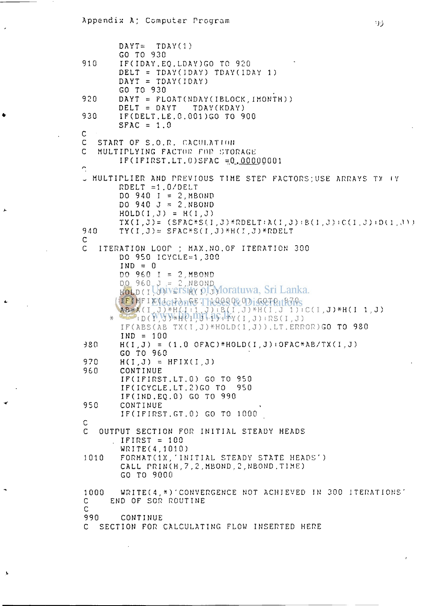```
DAYT= TDAY(l) 
        GO TO 930 
910 IF( I DAY . EQ . L.DAY )GO TO 920 
        DELT = TDAY(IDAY) TDAY(IDAY 1)DAYT = TDAYCIDAY) 
        GO TO 930 
920 DAYT = FLOAT(NDAY(IBLOCK, IMONTH))<br>DELT = DAYT TDAY(KDAY)
                      TDAY(KDAY)930 IF(DELT.LE.0.001)GO TO 900 
       SPAC = 1.0C 
C START OF S.O.R. CACULATION<br>C MULTIPLYING FACTOR FOR STO
   MULTIPLYING FACTOR FOR STORAGE
        IF(IFIRST.LT.0)SFAC = 0.00000001 
\tilde{ }w MULTIPLIER AND PREVIOUS TIME STEP FACTORS;USE ARRAYS TV IY 
        RDELT =1.0/DELT 
        DO 940 I = 2,MBOND 
        DO 940 J = 2.NBONDHOLD(I.J) = H(I,J) 
        TX(I,J) = (SFAC*S(I,J)*RDELT:A(I,J):B(I,J):C(I,J):D(I,J))940 TY(I,J)= SFAC*S(I,J)*H(I,J)*RDELT 
C 
C ITERATION LOOP ; MAX.NO.OF ITERATION 300 
        DC 950 ICYCLE=1,300 
        IND = 0 
        DO 960 I = 2, MBOND 
        DO 960 J - 2,NBOND 
        HOLD(I, ATILAET 21H)( Di TATI
        IFCHFIXCGFONGETHERESULO I GOTO 1701YS
        AB = A(I,J)*H(I i 1 , J ) i B( I . J)*HCI . J l)iC(I.J)-H(I 1 .J) 
      * i D ( I , J ) *H ( 1 , J i 1 ) i'f Y ( I , J ) i RS ( I , J ) 
        IF(ABS(AB TX(I,J)*HOLD(I,J)),LT.ERROR)GO TO 980 
        IND = 100 
380 HO,J ) = (1.0 OFAC)*HOLDO,J ) iOFAC*AB/TXO . J) 
        GO TO 960 
970 H( I , J ) = HFIXCI,J ) 
960 CONTINUE 
        I F O FIRST . LT . 0 ) GO TO 950 
        IFOCYCLE.LT.2)G O TO 950 
        IFOND.EQ.O ) GO TO 990 
950 CONTINUE 
        IFOFIRST.GT.O ) GO TO 1000 
C
C OUTPUT SECTION FOR INITIAL STEADY HEADS 
        IFIRST = 100 
        WRITE(4,1010) 
1010 FORMATC1X, ' INITIAL STEADY STATE HEADS') 
        CALL PRIN(H,7,2.MBOND.2,NBOND.TIME) 
        GO TO 9000 
1000 WRITE(4,*)'CONVERGENCE NOT ACHIEVED IN 300 ITERATIONS' 
C END OF SOR ROUTINE 
C 
        990 CONTINUE 
C SECTION FOR CALCULATING FLOW INSERTED HERE
```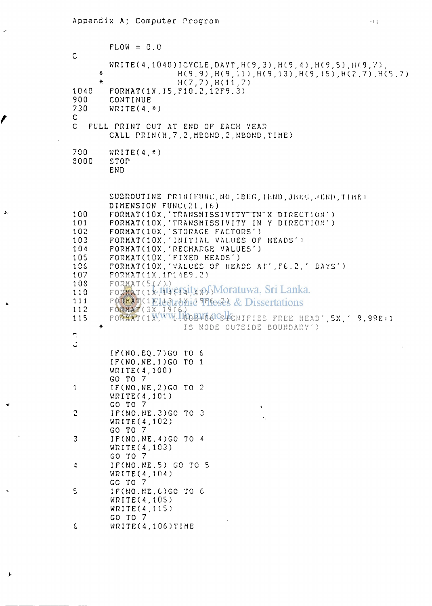$\ddot{\phantom{0}}$ 

t

للأ

 $\ddot{\phantom{1}}$ 

 $\frac{1}{4}$  $\bar{z}$  $\bar{1}$ 

 $\blacktriangleright$ 

|                                                                                               | $FLOW = 0.0$                                                                                                                                                                                                                                                                                                                                                                                                                                                                                                                                                                                                                                  |
|-----------------------------------------------------------------------------------------------|-----------------------------------------------------------------------------------------------------------------------------------------------------------------------------------------------------------------------------------------------------------------------------------------------------------------------------------------------------------------------------------------------------------------------------------------------------------------------------------------------------------------------------------------------------------------------------------------------------------------------------------------------|
| $\mathsf{C}$<br>¥.                                                                            | $WRITE(4, 1040) ICYCLE, DAYT, H(9, 3), H(9, 4), H(9, 5), H(9, 7),$<br>$H(9, 9)$ , $H(9, 11)$ , $H(9, 13)$ , $H(9, 15)$ , $H(2, 7)$ , $H(5, 7)$                                                                                                                                                                                                                                                                                                                                                                                                                                                                                                |
| ¥.<br>1040<br>900<br>730<br>$\mathsf{C}^-$                                                    | H(7, 7), H(11, 7)<br>FORMAT(1X, I5, F10.2.12F9.3)<br>CONTINUE<br>$WRITE(4,*)$                                                                                                                                                                                                                                                                                                                                                                                                                                                                                                                                                                 |
| $\mathsf{C}$                                                                                  | FULL PRINT OUT AT END OF EACH YEAR<br>CALL PRIN(H.7.2. MBOND.2. NBOND. TIME)                                                                                                                                                                                                                                                                                                                                                                                                                                                                                                                                                                  |
| 700<br>8000                                                                                   | $WRITE(4,*)$<br>STOP<br><b>END</b>                                                                                                                                                                                                                                                                                                                                                                                                                                                                                                                                                                                                            |
| 100<br>101<br>102<br>103<br>104<br>105<br>106<br>107<br>108<br>110<br>111<br>112<br>115<br>¥. | SUBROUTINE PRIN(FUNC, NO, IBEG, IEND, JBEG, JEND, TIME)<br>DIMENSION FUNC(21,16)<br>FORMAT(10X, 'TRANSMISSIVITY"TN"X DIRECTION')<br>FORMAT(10X, 'TRANSMISSIVITY IN Y DIRECTION')<br>FORMAT(10X, 'STORAGE FACTORS')<br>FORMAT(10X, 'INITIAL VALUES OF HEADS')<br>FORMAT(10X, 'RECHARGE VALUES')<br>FORMAT(10X, 'FIXED HEADS')<br>FORMAT(10X, 'VALUES OF HEADS AT', F6.2, ' DAYS')<br>FORMAT(1X, 1P14E9.2)<br>FORMAT(5(1))<br>FORMAT (1k JUVersity of Moratuwa, Sri Lanka.<br><b>FORMAT(1KJAGTAKId Theses &amp; Dissertations</b><br>FORMAT(3X, 1916.)<br>FORMAT(1WWW.100BU6GCSFGNIFIES FREE HEAD', 5X, ' 9.99E+1<br>IS NODE OUTSIDE BOUNDARY') |
|                                                                                               | IF(NO.EQ.7)GO TO 6<br>IF(NO.NE.1)GO TO 1<br>WRITE(4,100)<br>GO TO 7                                                                                                                                                                                                                                                                                                                                                                                                                                                                                                                                                                           |
| $\mathbf{1}$                                                                                  | IF(NO.NE.2)GO TO 2<br>WRITE(4,101)<br>GO TO 7<br>$\mathbf{C}$                                                                                                                                                                                                                                                                                                                                                                                                                                                                                                                                                                                 |
| $\overline{c}$                                                                                | IF(NO.NE.3)GO TO 3<br>×.<br>WRITE(4,102)<br>GO TO 7                                                                                                                                                                                                                                                                                                                                                                                                                                                                                                                                                                                           |
| 3                                                                                             | IF(NO.NE.4)GO TO 4<br>WRITE(4, 103)<br>GO TO 7                                                                                                                                                                                                                                                                                                                                                                                                                                                                                                                                                                                                |
| 4                                                                                             | IF(NO.NE.5) GO TO 5<br>WRITE(4, 104)<br>GO TO 7                                                                                                                                                                                                                                                                                                                                                                                                                                                                                                                                                                                               |
| 5                                                                                             | IF(NO.NE.6)GO TO 6<br>WRITE(4,105)<br>WRITE(4, 115)<br>GO TO 7                                                                                                                                                                                                                                                                                                                                                                                                                                                                                                                                                                                |
| $\epsilon$                                                                                    | WRITE(4,106)TIME                                                                                                                                                                                                                                                                                                                                                                                                                                                                                                                                                                                                                              |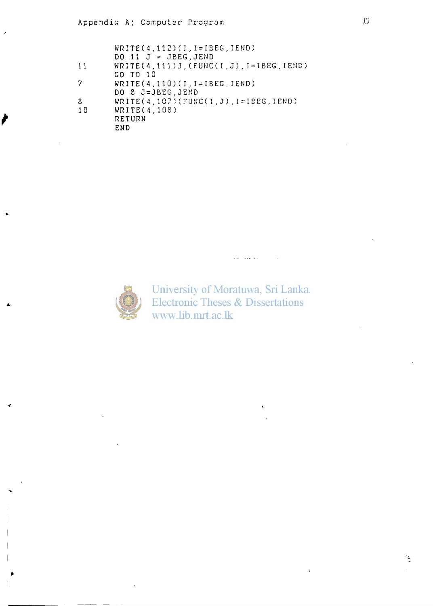|     | $WRITE(4, 112)(I, I = IBEG, IEND)$         |
|-----|--------------------------------------------|
|     | DO 11 $J = JEEG$ , JEND                    |
| 11  | $WRITE(4, 111)J, (FWC(I,J), I=IEEG, IEND)$ |
|     | GO TO 10                                   |
| 7   | $WRITE(4, 110)(I, I=IBEG, IEND)$           |
|     | DO 8 J=JBEG.JEND                           |
| ೆ   | $WRITE(4, 107) (FWC(I,J), I=IEEG, IEND)$   |
| -10 | WRITE(4,108)                               |
|     | RETURN                                     |
|     | END                                        |
|     |                                            |



University of Moratuwa, Sri Lanka. **Electronic Theses & Dissertations** www.lib.mrt.ac.lk

المعاشف البليد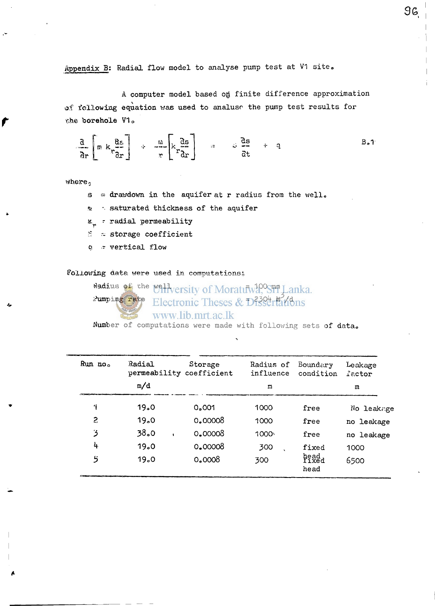Appendix B: Radial flow model to analyse pump test at V1 site.

A computer model based on finite difference approximation **of following equation was used to analusr the pump test results for**  *the* **borehole V1 <sup>0</sup>**

$$
\frac{a}{ar}\left[m k \frac{a_5}{ar}\right] + \frac{m}{r}\left[k \frac{a_5}{ar}\right] = s \frac{a_5}{at} + q
$$

where<sub>2</sub>

- **s a drawdown in the aquifer at r radius from the wello**
- **ft; saturated thickness of the aquifer**
- *x.^ •* **radial permeability**
- **•? •-- storage coefficient**
- **G vertical flow**

**Following data were used in computations;** 

Radius of the well versity of Moratury<sup>100</sup>STI Lanka.  $x$ **umping rate** Electronic Theses & D738 transform

www.lib.mrt.ac.lk

**Number of computations were made with following sets of data.** 

| $Run$ $noo$                   | Radial | Storage<br>permeability coefficient | Radius of<br>influence | Boundary<br>condition | Leakage<br>factor |
|-------------------------------|--------|-------------------------------------|------------------------|-----------------------|-------------------|
|                               | m/d    |                                     | m                      |                       | m                 |
| 1                             | 19.0   | 0.001                               | 1000                   | free                  | No leakage        |
| 2                             | 19.0   | 0.00008                             | 1000                   | free                  | no leakage        |
| 3                             | 38.0   | 0.00008                             | 1000 <sub>1</sub>      | free                  | no leakage        |
| 4                             | 19.0   | 0.00008                             | 300                    | fixed                 | 1000              |
| 5<br>فسنتصب فالمتحدث بمنتقلات | 19.0   | 0,0008                              | 300                    | head<br>head          | 6500              |

96